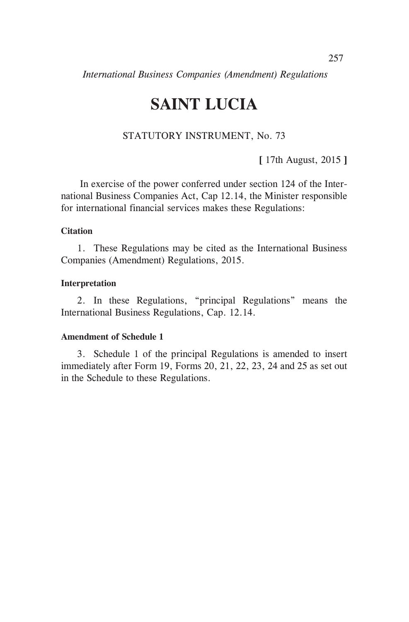# **SAINT LUCIA**

# STATUTORY INSTRUMENT, No. 73

**[** 17th August, 2015 **]**

In exercise of the power conferred under section 124 of the International Business Companies Act, Cap 12.14, the Minister responsible for international financial services makes these Regulations:

#### **Citation**

1. These Regulations may be cited as the International Business Companies (Amendment) Regulations, 2015.

#### **Interpretation**

2. In these Regulations, "principal Regulations" means the International Business Regulations, Cap. 12.14.

#### **Amendment of Schedule 1**

3. Schedule 1 of the principal Regulations is amended to insert immediately after Form 19, Forms 20, 21, 22, 23, 24 and 25 as set out in the Schedule to these Regulations.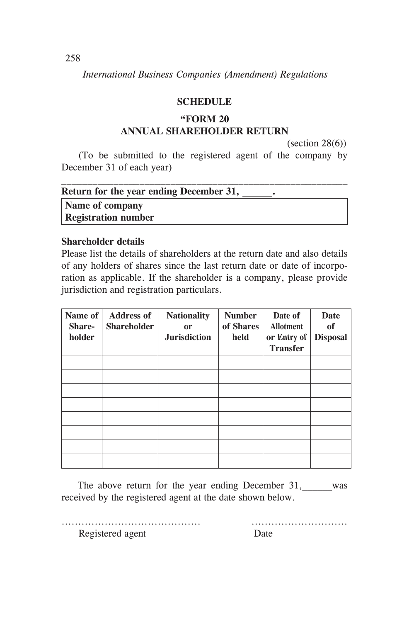## **SCHEDULE**

# **"FORM 20 ANNUAL SHAREHOLDER RETURN**

(section 28(6))

(To be submitted to the registered agent of the company by December 31 of each year)

| Return for the year ending December 31, |  |  |
|-----------------------------------------|--|--|
| Name of company                         |  |  |
| <b>Registration number</b>              |  |  |

## **Shareholder details**

Please list the details of shareholders at the return date and also details of any holders of shares since the last return date or date of incorporation as applicable. If the shareholder is a company, please provide jurisdiction and registration particulars.

| Name of<br>Share-<br>holder | <b>Address of</b><br><b>Shareholder</b> | <b>Nationality</b><br><b>or</b><br><b>Jurisdiction</b> | <b>Number</b><br>of Shares<br>held | Date of<br><b>Allotment</b><br>or Entry of<br><b>Transfer</b> | Date<br><sub>of</sub><br><b>Disposal</b> |
|-----------------------------|-----------------------------------------|--------------------------------------------------------|------------------------------------|---------------------------------------------------------------|------------------------------------------|
|                             |                                         |                                                        |                                    |                                                               |                                          |
|                             |                                         |                                                        |                                    |                                                               |                                          |
|                             |                                         |                                                        |                                    |                                                               |                                          |
|                             |                                         |                                                        |                                    |                                                               |                                          |
|                             |                                         |                                                        |                                    |                                                               |                                          |
|                             |                                         |                                                        |                                    |                                                               |                                          |
|                             |                                         |                                                        |                                    |                                                               |                                          |
|                             |                                         |                                                        |                                    |                                                               |                                          |

The above return for the year ending December 31, was received by the registered agent at the date shown below.

.......................................... .............................

Registered agent Date

258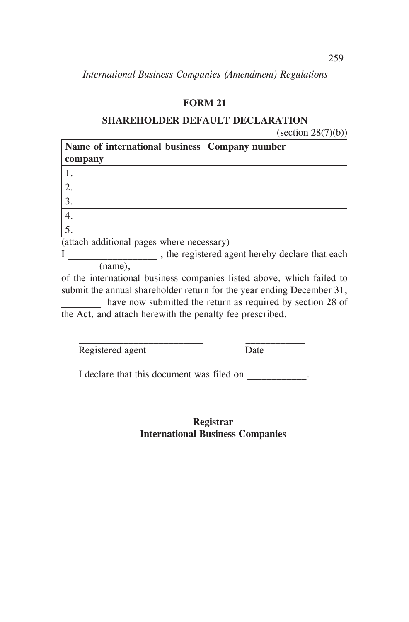# **FORM 21**

## **SHAREHOLDER DEFAULT DECLARATION**

 $\left( \text{section } 28(7)(b) \right)$ 

| Name of international business   Company number |  |
|-------------------------------------------------|--|
| company                                         |  |
|                                                 |  |
|                                                 |  |
|                                                 |  |
|                                                 |  |
|                                                 |  |

(attach additional pages where necessary)

I \_\_\_\_\_\_\_\_\_\_\_\_\_\_\_\_\_\_ , the registered agent hereby declare that each (name),

of the international business companies listed above, which failed to submit the annual shareholder return for the year ending December 31,

have now submitted the return as required by section 28 of the Act, and attach herewith the penalty fee prescribed.

Registered agent Date

I declare that this document was filed on  $\blacksquare$ .

**Registrar International Business Companies**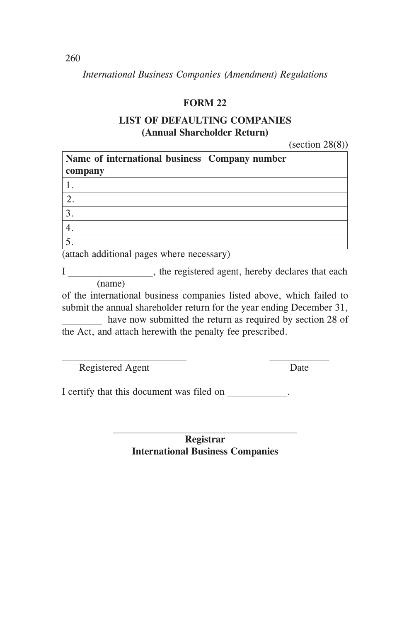# **FORM 22**

## **LIST OF DEFAULTING COMPANIES (Annual Shareholder Return)**

 $(section 28(8))$ 

| Name of international business   Company number |  |
|-------------------------------------------------|--|
| company                                         |  |
|                                                 |  |
|                                                 |  |
|                                                 |  |
|                                                 |  |
|                                                 |  |

(attach additional pages where necessary)

I here registered agent, hereby declares that each (name)

of the international business companies listed above, which failed to submit the annual shareholder return for the year ending December 31,

have now submitted the return as required by section 28 of the Act, and attach herewith the penalty fee prescribed.

Registered Agent Date

I certify that this document was filed on  $\blacksquare$ 

**Registrar International Business Companies**

260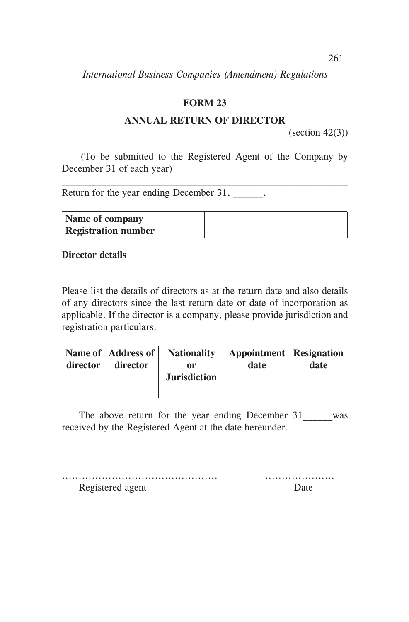# **FORM 23**

## **ANNUAL RETURN OF DIRECTOR**

 $\text{(section 42(3))}$ 

(To be submitted to the Registered Agent of the Company by December 31 of each year)

Return for the year ending December 31,

| <b>Name of company</b>     |  |
|----------------------------|--|
| <b>Registration number</b> |  |

## **Director details**

Please list the details of directors as at the return date and also details of any directors since the last return date or date of incorporation as applicable. If the director is a company, please provide jurisdiction and registration particulars.

| director | Name of   Address of  <br>director | <b>Nationality</b><br>0r<br><b>Jurisdiction</b> | <b>Appointment</b> Resignation<br>date | date |
|----------|------------------------------------|-------------------------------------------------|----------------------------------------|------|
|          |                                    |                                                 |                                        |      |

The above return for the year ending December 31 was received by the Registered Agent at the date hereunder.

| Registered agent | Date |
|------------------|------|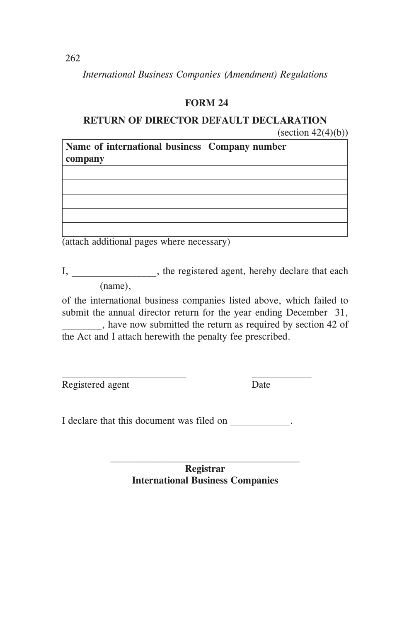# **FORM 24**

## **RETURN OF DIRECTOR DEFAULT DECLARATION**  $\text{(section 42(4)(b))}$

| Name of international business   Company number |  |
|-------------------------------------------------|--|
| company                                         |  |
|                                                 |  |
|                                                 |  |
|                                                 |  |
|                                                 |  |
|                                                 |  |

(attach additional pages where necessary)

I, the registered agent, hereby declare that each (name),

of the international business companies listed above, which failed to submit the annual director return for the year ending December 31, \_\_\_\_\_\_\_\_, have now submitted the return as required by section 42 of the Act and I attach herewith the penalty fee prescribed.

Registered agent Date

I declare that this document was filed on  $\blacksquare$ 

**Registrar International Business Companies** 

262